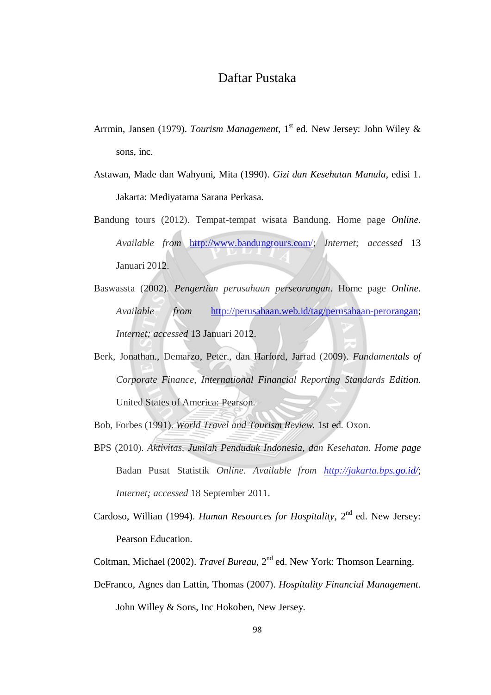## Daftar Pustaka

- Arrmin, Jansen (1979). *Tourism Management*, 1<sup>st</sup> ed. New Jersey: John Wiley & sons, inc.
- Astawan, Made dan Wahyuni, Mita (1990). *Gizi dan Kesehatan Manula*, edisi 1. Jakarta: Mediyatama Sarana Perkasa.
- Bandung tours (2012). Tempat-tempat wisata Bandung. Home page *Online*. *Available from* [http://www.bandungtours.com/;](http://www.bandungtours.com/) *Internet; accessed* 13 Januari 2012.
- Baswassta (2002). *Pengertian perusahaan perseorangan*. Home page *Online*. *Available from* [http://perusahaan.web.id/tag/perusahaan-perorangan;](http://perusahaan.web.id/tag/perusahaan-perorangan) *Internet; accessed* 13 Januari 2012.
- Berk, Jonathan., Demarzo, Peter., dan Harford, Jarrad (2009). *Fundamentals of Corporate Finance, International Financial Reporting Standards Edition.* United States of America: Pearson.
- Bob, Forbes (1991). *World Travel and Tourism Review*. 1st ed. Oxon.
- BPS (2010). *Aktivitas, Jumlah Penduduk Indonesia, dan Kesehatan*. *Home page* Badan Pusat Statistik *Online*. *Available from <http://jakarta.bps.go.id/>*; *Internet; accessed* 18 September 2011.
- Cardoso, Willian (1994). *Human Resources for Hospitality*, 2<sup>nd</sup> ed. New Jersey: Pearson Education.
- Coltman, Michael (2002). *Travel Bureau*, 2nd ed. New York: Thomson Learning.
- DeFranco, Agnes dan Lattin, Thomas (2007). *Hospitality Financial Management*. John Willey & Sons, Inc Hokoben, New Jersey.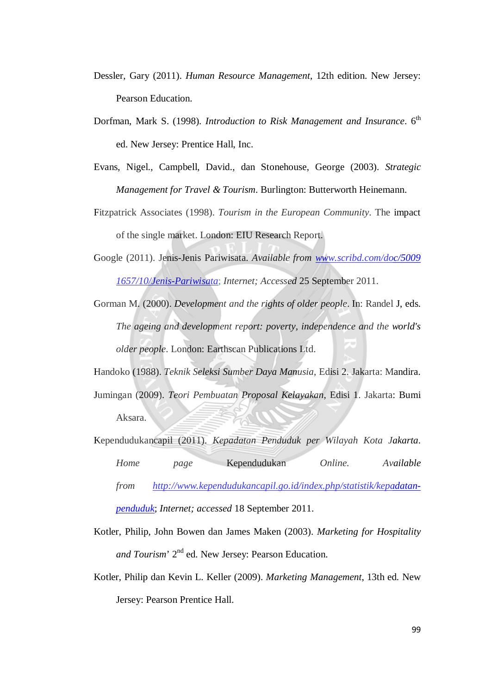- Dessler, Gary (2011). *Human Resource Management*, 12th edition. New Jersey: Pearson Education.
- Dorfman, Mark S. (1998). *Introduction to Risk Management and Insurance*. 6<sup>th</sup> ed. New Jersey: Prentice Hall, Inc.
- Evans, Nigel., Campbell, David., dan Stonehouse, George (2003). *Strategic Management for Travel & Tourism*. Burlington: Butterworth Heinemann.
- Fitzpatrick Associates (1998). *Tourism in the European Community*. The impact of the single market. London: EIU Research Report.
- Google (2011). Jenis-Jenis Pariwisata. *Available from [www.scribd.com/doc/5009](http://www.scribd.com/doc/5009%201657/10/Jenis-Pariwisata) [1657/10/Jenis-Pariwisata](http://www.scribd.com/doc/5009%201657/10/Jenis-Pariwisata)*; *Internet; Accessed* 25 September 2011.
- Gorman M. (2000). *Development and the rights of older people*. In: Randel J, eds. *The ageing and development report: poverty, independence and the world's older people*. London: Earthscan Publications Ltd.

Handoko (1988). *Teknik Seleksi Sumber Daya Manusia*, Edisi 2. Jakarta: Mandira.

- Jumingan (2009). *Teori Pembuatan Proposal Kelayakan*, Edisi 1. Jakarta: Bumi Aksara.
- Kependudukancapil (2011). *Kepadatan Penduduk per Wilayah Kota Jakarta*. *Home page* Kependudukan *Online. Available from [http://www.kependudukancapil.go.id/index.php/statistik/kepadatan](http://www.kependudukancapil.go.id/index.php/statistik/kepadatan-penduduk)[penduduk](http://www.kependudukancapil.go.id/index.php/statistik/kepadatan-penduduk)*; *Internet; accessed* 18 September 2011.

Kotler, Philip, John Bowen dan James Maken (2003). *Marketing for Hospitality*  and Tourism' 2<sup>nd</sup> ed. New Jersey: Pearson Education.

Kotler, Philip dan Kevin L. Keller (2009). *Marketing Management*, 13th ed. New Jersey: Pearson Prentice Hall.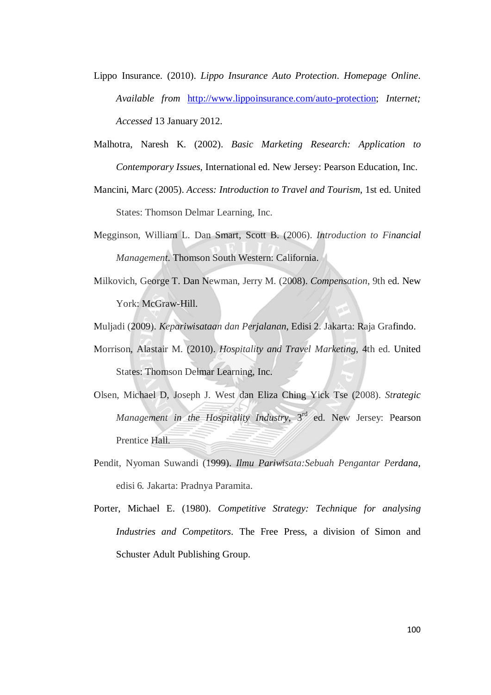- Lippo Insurance. (2010). *Lippo Insurance Auto Protection*. *Homepage Online*. *Available from* [http://www.lippoinsurance.com/auto-protection;](http://www.lippoinsurance.com/auto-protection) *Internet; Accessed* 13 January 2012.
- Malhotra, Naresh K. (2002). *Basic Marketing Research: Application to Contemporary Issues*, International ed. New Jersey: Pearson Education, Inc.
- Mancini, Marc (2005). *Access: Introduction to Travel and Tourism*, 1st ed. United States: Thomson Delmar Learning, Inc.
- Megginson, William L. Dan Smart, Scott B. (2006). *Introduction to Financial Management*. Thomson South Western: California.
- Milkovich, George T. Dan Newman, Jerry M. (2008). *Compensation*, 9th ed. New York: McGraw-Hill.

Muljadi (2009). *Kepariwisataan dan Perjalanan*, Edisi 2. Jakarta: Raja Grafindo.

- Morrison, Alastair M. (2010). *Hospitality and Travel Marketing*, 4th ed. United States: Thomson Delmar Learning, Inc.
- Olsen, Michael D, Joseph J. West dan Eliza Ching Yick Tse (2008). *Strategic Management in the Hospitality Industry*, 3<sup>rd</sup> ed. New Jersey: Pearson Prentice Hall.
- Pendit, Nyoman Suwandi (1999). *Ilmu Pariwisata:Sebuah Pengantar Perdana*, edisi 6. Jakarta: Pradnya Paramita.
- Porter, Michael E. (1980). *Competitive Strategy: Technique for analysing Industries and Competitors*. The Free Press, a division of Simon and Schuster Adult Publishing Group.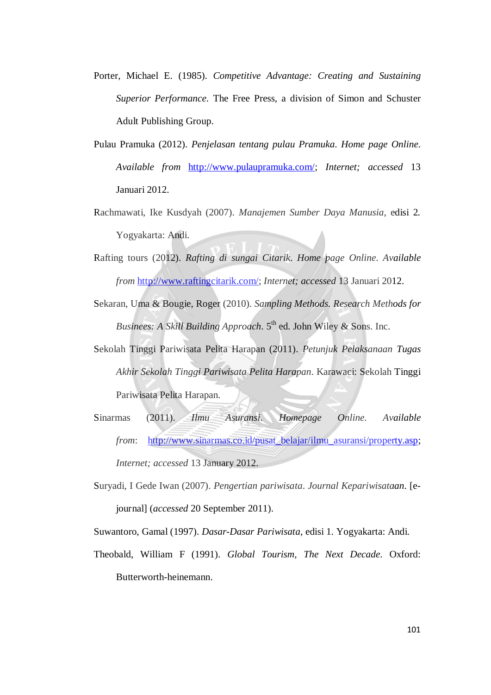- Porter, Michael E. (1985). *Competitive Advantage: Creating and Sustaining Superior Performance*. The Free Press, a division of Simon and Schuster Adult Publishing Group.
- Pulau Pramuka (2012). *Penjelasan tentang pulau Pramuka*. *Home page Online*. *Available from* [http://www.pulaupramuka.com/;](http://www.pulaupramuka.com/) *Internet; accessed* 13 Januari 2012.
- Rachmawati, Ike Kusdyah (2007). *Manajemen Sumber Daya Manusia*, edisi 2. Yogyakarta: Andi.
- Rafting tours (2012). *Rafting di sungai Citarik*. *Home page Online*. *Available from* [http://www.raftingcitarik.com/;](http://www.raftingcitarik.com/) *Internet; accessed* 13 Januari 2012.
- Sekaran, Uma & Bougie, Roger (2010). *Sampling Methods. Research Methods for Businees: A Skill Building Approach.* 5<sup>th</sup> ed. John Wiley & Sons. Inc.
- Sekolah Tinggi Pariwisata Pelita Harapan (2011). *Petunjuk Pelaksanaan Tugas Akhir Sekolah Tinggi Pariwisata Pelita Harapan*. Karawaci: Sekolah Tinggi Pariwisata Pelita Harapan.
- Sinarmas (2011). *Ilmu Asuransi*. *Homepage Online. Available from*: [http://www.sinarmas.co.id/pusat\\_belajar/ilmu\\_asuransi/property.asp;](http://www.sinarmas.co.id/pusat_belajar/ilmu_asuransi/property.asp) *Internet; accessed* 13 January 2012.
- Suryadi, I Gede Iwan (2007). *Pengertian pariwisata*. *Journal Kepariwisataan*. [ejournal] (*accessed* 20 September 2011).

Suwantoro, Gamal (1997). *Dasar-Dasar Pariwisata*, edisi 1. Yogyakarta: Andi.

Theobald, William F (1991). *Global Tourism, The Next Decade*. Oxford: Butterworth-heinemann.